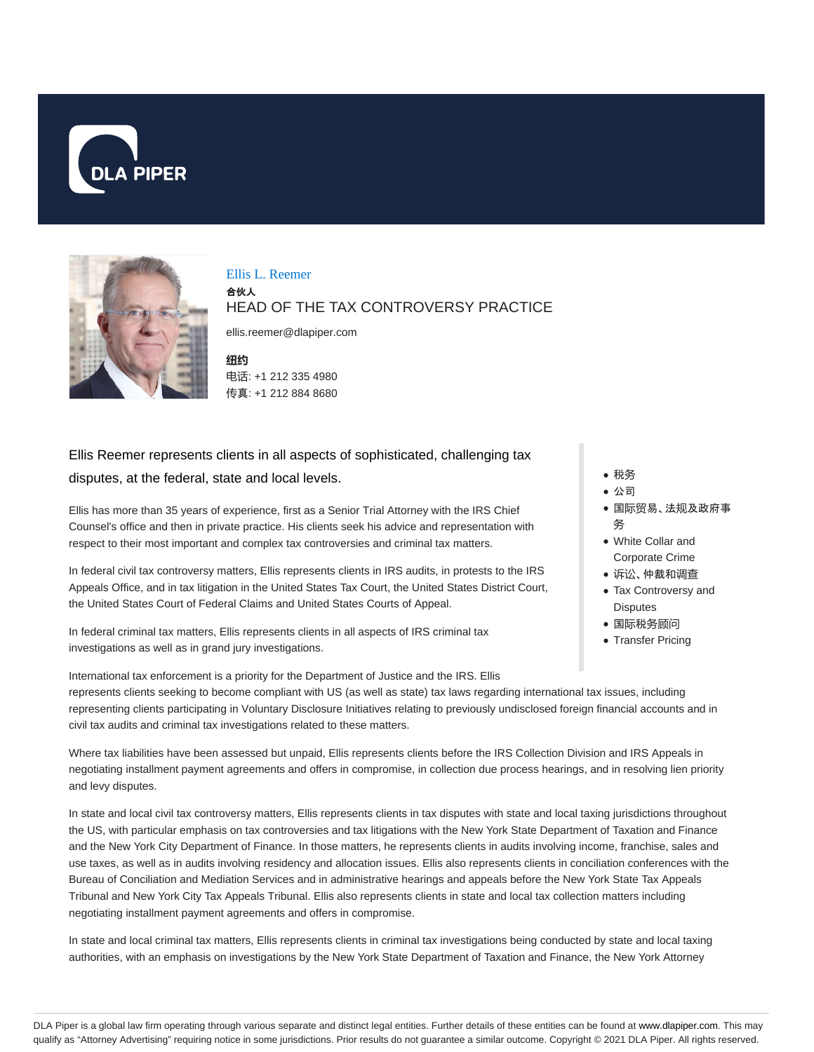



Ellis L. Reemer

合伙人

## HEAD OF THE TAX CONTROVERSY PRACTICE

ellis.reemer@dlapiper.com

**纽约** 电话: +1 212 335 4980 传真: +1 212 884 8680

# Ellis Reemer represents clients in all aspects of sophisticated, challenging tax disputes, at the federal, state and local levels.

Ellis has more than 35 years of experience, first as a Senior Trial Attorney with the IRS Chief Counsel's office and then in private practice. His clients seek his advice and representation with respect to their most important and complex tax controversies and criminal tax matters.

In federal civil tax controversy matters, Ellis represents clients in IRS audits, in protests to the IRS Appeals Office, and in tax litigation in the United States Tax Court, the United States District Court, the United States Court of Federal Claims and United States Courts of Appeal.

In federal criminal tax matters, Ellis represents clients in all aspects of IRS criminal tax investigations as well as in grand jury investigations.

International tax enforcement is a priority for the Department of Justice and the IRS. Ellis

- 税务
- 公司
- 国际贸易、法规及政府事 务
- White Collar and Corporate Crime
- 诉讼、仲裁和调查
- Tax Controversy and **Disputes**
- 国际税务顾问
- Transfer Pricing

represents clients seeking to become compliant with US (as well as state) tax laws regarding international tax issues, including representing clients participating in Voluntary Disclosure Initiatives relating to previously undisclosed foreign financial accounts and in civil tax audits and criminal tax investigations related to these matters.

Where tax liabilities have been assessed but unpaid, Ellis represents clients before the IRS Collection Division and IRS Appeals in negotiating installment payment agreements and offers in compromise, in collection due process hearings, and in resolving lien priority and levy disputes.

In state and local civil tax controversy matters, Ellis represents clients in tax disputes with state and local taxing jurisdictions throughout the US, with particular emphasis on tax controversies and tax litigations with the New York State Department of Taxation and Finance and the New York City Department of Finance. In those matters, he represents clients in audits involving income, franchise, sales and use taxes, as well as in audits involving residency and allocation issues. Ellis also represents clients in conciliation conferences with the Bureau of Conciliation and Mediation Services and in administrative hearings and appeals before the New York State Tax Appeals Tribunal and New York City Tax Appeals Tribunal. Ellis also represents clients in state and local tax collection matters including negotiating installment payment agreements and offers in compromise.

In state and local criminal tax matters, Ellis represents clients in criminal tax investigations being conducted by state and local taxing authorities, with an emphasis on investigations by the New York State Department of Taxation and Finance, the New York Attorney

DLA Piper is a global law firm operating through various separate and distinct legal entities. Further details of these entities can be found at www.dlapiper.com. This may qualify as "Attorney Advertising" requiring notice in some jurisdictions. Prior results do not guarantee a similar outcome. Copyright © 2021 DLA Piper. All rights reserved.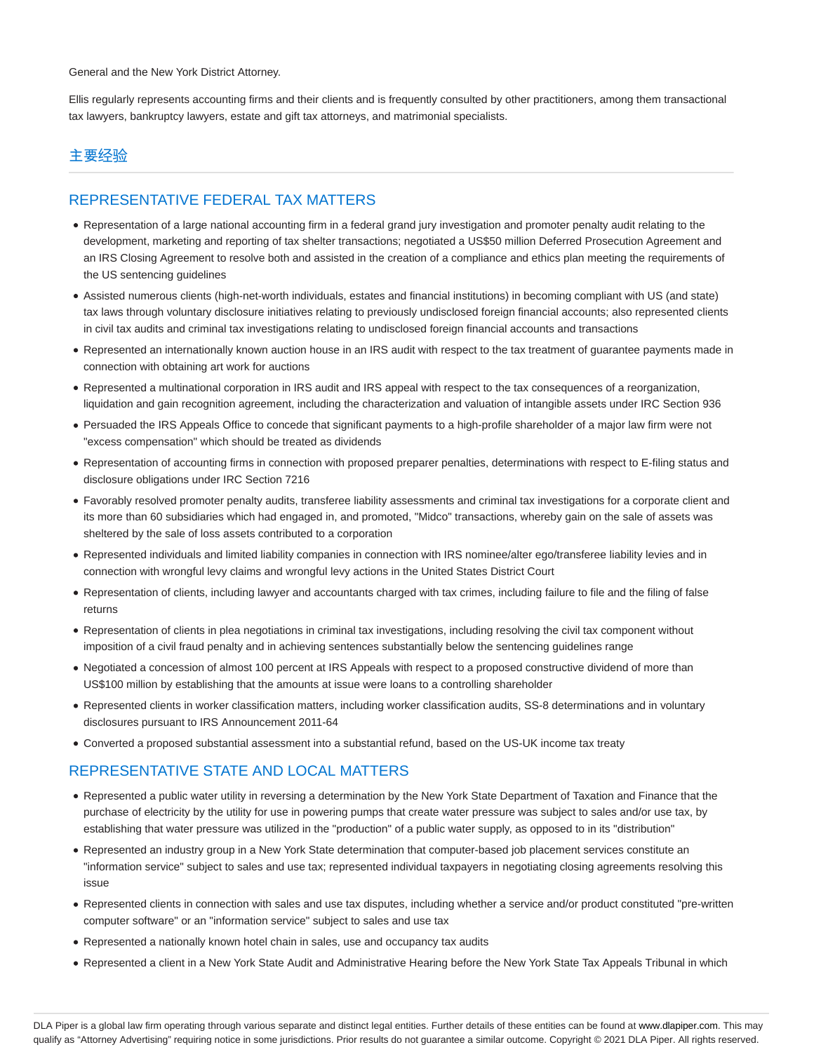General and the New York District Attorney.

Ellis regularly represents accounting firms and their clients and is frequently consulted by other practitioners, among them transactional tax lawyers, bankruptcy lawyers, estate and gift tax attorneys, and matrimonial specialists.

### 主要经验

#### REPRESENTATIVE FEDERAL TAX MATTERS

- Representation of a large national accounting firm in a federal grand jury investigation and promoter penalty audit relating to the development, marketing and reporting of tax shelter transactions; negotiated a US\$50 million Deferred Prosecution Agreement and an IRS Closing Agreement to resolve both and assisted in the creation of a compliance and ethics plan meeting the requirements of the US sentencing guidelines
- Assisted numerous clients (high-net-worth individuals, estates and financial institutions) in becoming compliant with US (and state) tax laws through voluntary disclosure initiatives relating to previously undisclosed foreign financial accounts; also represented clients in civil tax audits and criminal tax investigations relating to undisclosed foreign financial accounts and transactions
- Represented an internationally known auction house in an IRS audit with respect to the tax treatment of guarantee payments made in connection with obtaining art work for auctions
- Represented a multinational corporation in IRS audit and IRS appeal with respect to the tax consequences of a reorganization, liquidation and gain recognition agreement, including the characterization and valuation of intangible assets under IRC Section 936
- Persuaded the IRS Appeals Office to concede that significant payments to a high-profile shareholder of a major law firm were not "excess compensation" which should be treated as dividends
- Representation of accounting firms in connection with proposed preparer penalties, determinations with respect to E-filing status and disclosure obligations under IRC Section 7216
- Favorably resolved promoter penalty audits, transferee liability assessments and criminal tax investigations for a corporate client and its more than 60 subsidiaries which had engaged in, and promoted, "Midco" transactions, whereby gain on the sale of assets was sheltered by the sale of loss assets contributed to a corporation
- Represented individuals and limited liability companies in connection with IRS nominee/alter ego/transferee liability levies and in connection with wrongful levy claims and wrongful levy actions in the United States District Court
- Representation of clients, including lawyer and accountants charged with tax crimes, including failure to file and the filing of false returns
- Representation of clients in plea negotiations in criminal tax investigations, including resolving the civil tax component without imposition of a civil fraud penalty and in achieving sentences substantially below the sentencing guidelines range
- Negotiated a concession of almost 100 percent at IRS Appeals with respect to a proposed constructive dividend of more than US\$100 million by establishing that the amounts at issue were loans to a controlling shareholder
- Represented clients in worker classification matters, including worker classification audits, SS-8 determinations and in voluntary disclosures pursuant to IRS Announcement 2011-64
- Converted a proposed substantial assessment into a substantial refund, based on the US-UK income tax treaty

#### REPRESENTATIVE STATE AND LOCAL MATTERS

- Represented a public water utility in reversing a determination by the New York State Department of Taxation and Finance that the purchase of electricity by the utility for use in powering pumps that create water pressure was subject to sales and/or use tax, by establishing that water pressure was utilized in the "production" of a public water supply, as opposed to in its "distribution"
- Represented an industry group in a New York State determination that computer-based job placement services constitute an "information service" subject to sales and use tax; represented individual taxpayers in negotiating closing agreements resolving this issue
- Represented clients in connection with sales and use tax disputes, including whether a service and/or product constituted "pre-written computer software" or an "information service" subject to sales and use tax
- Represented a nationally known hotel chain in sales, use and occupancy tax audits
- Represented a client in a New York State Audit and Administrative Hearing before the New York State Tax Appeals Tribunal in which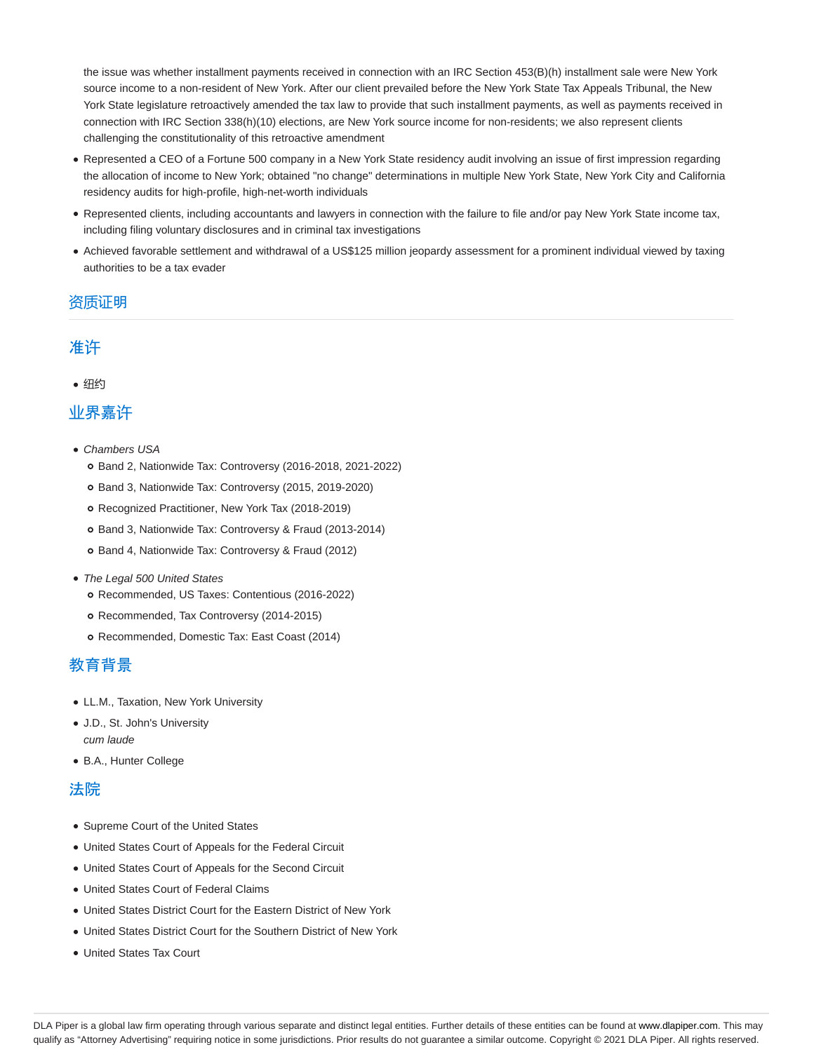the issue was whether installment payments received in connection with an IRC Section 453(B)(h) installment sale were New York source income to a non-resident of New York. After our client prevailed before the New York State Tax Appeals Tribunal, the New York State legislature retroactively amended the tax law to provide that such installment payments, as well as payments received in connection with IRC Section 338(h)(10) elections, are New York source income for non-residents; we also represent clients challenging the constitutionality of this retroactive amendment

- Represented a CEO of a Fortune 500 company in a New York State residency audit involving an issue of first impression regarding the allocation of income to New York; obtained "no change" determinations in multiple New York State, New York City and California residency audits for high-profile, high-net-worth individuals
- Represented clients, including accountants and lawyers in connection with the failure to file and/or pay New York State income tax, including filing voluntary disclosures and in criminal tax investigations
- Achieved favorable settlement and withdrawal of a US\$125 million jeopardy assessment for a prominent individual viewed by taxing authorities to be a tax evader

### 资质证明

#### 准许

• 纽约

## 业界嘉许

- Chambers USA
	- Band 2, Nationwide Tax: Controversy (2016-2018, 2021-2022)
	- o Band 3, Nationwide Tax: Controversy (2015, 2019-2020)
	- Recognized Practitioner, New York Tax (2018-2019)
	- Band 3, Nationwide Tax: Controversy & Fraud (2013-2014)
	- o Band 4, Nationwide Tax: Controversy & Fraud (2012)
- The Legal 500 United States
	- Recommended, US Taxes: Contentious (2016-2022)
	- o Recommended, Tax Controversy (2014-2015)
	- Recommended, Domestic Tax: East Coast (2014)

### 教育背景

- LL.M., Taxation, New York University
- J.D., St. John's University cum laude
- B.A., Hunter College

#### 法院

- Supreme Court of the United States
- United States Court of Appeals for the Federal Circuit
- United States Court of Appeals for the Second Circuit
- United States Court of Federal Claims
- United States District Court for the Eastern District of New York
- United States District Court for the Southern District of New York
- United States Tax Court